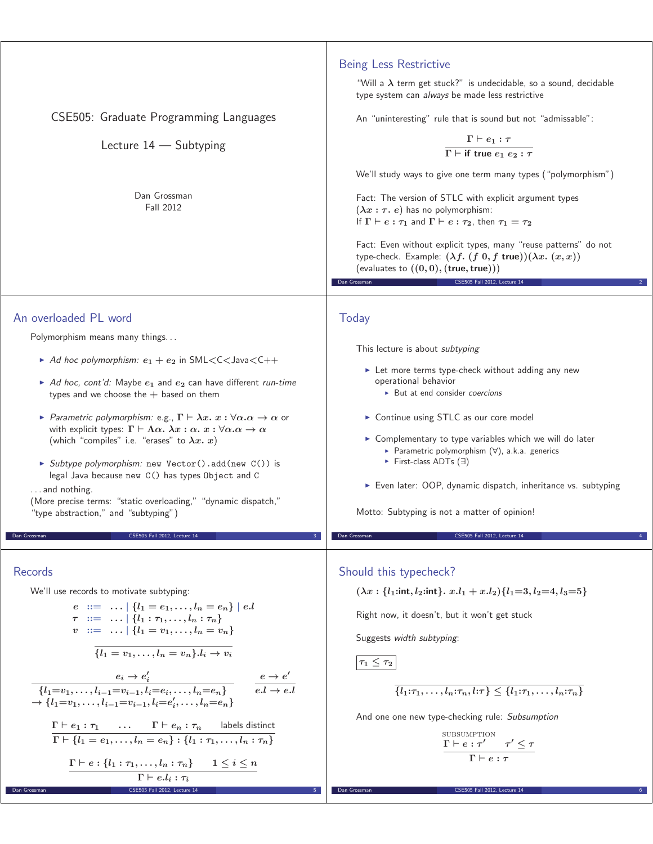| CSE505: Graduate Programming Languages<br>Lecture 14 - Subtyping<br>Dan Grossman<br>Fall 2012                                                                                                                                                                                                                                                                                                                                                                                                                                                                                                                                                                                                                                                                                                                                                                                                          | <b>Being Less Restrictive</b><br>"Will a $\lambda$ term get stuck?" is undecidable, so a sound, decidable<br>type system can always be made less restrictive<br>An "uninteresting" rule that is sound but not "admissable":<br>$\Gamma\vdash e_1:\tau$<br>$\overline{\Gamma \vdash \text{if true } e_1 \ e_2 : \tau}$<br>We'll study ways to give one term many types ("polymorphism")<br>Fact: The version of STLC with explicit argument types<br>$(\lambda x : \tau. e)$ has no polymorphism:<br>If $\Gamma \vdash e : \tau_1$ and $\Gamma \vdash e : \tau_2$ , then $\tau_1 = \tau_2$<br>Fact: Even without explicit types, many "reuse patterns" do not<br>type-check. Example: $(\lambda f. (f 0, f true))(\lambda x. (x, x))$<br>(evaluates to $((0,0),$ $(\text{true}, \text{true}))$ )<br>CSE505 Fall 2012, Lecture 14<br>Dan Grossman |
|--------------------------------------------------------------------------------------------------------------------------------------------------------------------------------------------------------------------------------------------------------------------------------------------------------------------------------------------------------------------------------------------------------------------------------------------------------------------------------------------------------------------------------------------------------------------------------------------------------------------------------------------------------------------------------------------------------------------------------------------------------------------------------------------------------------------------------------------------------------------------------------------------------|-------------------------------------------------------------------------------------------------------------------------------------------------------------------------------------------------------------------------------------------------------------------------------------------------------------------------------------------------------------------------------------------------------------------------------------------------------------------------------------------------------------------------------------------------------------------------------------------------------------------------------------------------------------------------------------------------------------------------------------------------------------------------------------------------------------------------------------------------|
| An overloaded PL word<br>Polymorphism means many things<br>Ad hoc polymorphism: $e_1 + e_2$ in SML <c<java<c++<br>Ad hoc, cont'd: Maybe <math>e_1</math> and <math>e_2</math> can have different run-time<br/>types and we choose the <math>+</math> based on them<br/>Parametric polymorphism: e.g., <math>\Gamma \vdash \lambda x. x : \forall \alpha.\alpha \rightarrow \alpha</math> or<br/>with explicit types: <math>\Gamma \vdash \Lambda \alpha</math>. <math>\lambda x : \alpha</math>. <math>x : \forall \alpha \ldotp \alpha \rightarrow \alpha</math><br/>(which "compiles" i.e. "erases" to <math>\lambda x. x</math>)<br/>Subtype polymorphism: new Vector().add(new C()) is<br/>legal Java because new C() has types Object and C<br/>and nothing.<br/>(More precise terms: "static overloading," "dynamic dispatch,"<br/>"type abstraction," and "subtyping")</c<java<c++<br>          | Today<br>This lecture is about subtyping<br>Let more terms type-check without adding any new<br>operational behavior<br>But at end consider coercions<br>> Continue using STLC as our core model<br>► Complementary to type variables which we will do later<br>Parametric polymorphism $(\forall)$ , a.k.a. generics<br>First-class ADTs $(\exists)$<br>Even later: OOP, dynamic dispatch, inheritance vs. subtyping<br>Motto: Subtyping is not a matter of opinion!                                                                                                                                                                                                                                                                                                                                                                           |
| Dan Grossman<br>CSE505 Fall 2012, Lecture 14<br><b>Records</b><br>We'll use records to motivate subtyping:<br>$e ::=    \{l_1 = e_1, , l_n = e_n\}   e.l$<br>$\tau$ ::=    $\{l_1 : \tau_1, \ldots, l_n : \tau_n\}$<br>$v := \ldots   \{l_1 = v_1, \ldots, l_n = v_n\}$<br>$\overline{\{l_1 = v_1, \ldots, l_n = v_n\}.l_i \to v_i}$<br>$e_i \to e'_i$<br>{ $l_1 = v_1, \ldots, l_{i-1} = v_{i-1}, l_i = e_i, \ldots, l_n = e_n$ }<br>$e \to e'$<br>$e.l \to e.l$<br>$\rightarrow \{l_1 = v_1, \ldots, l_{i-1} = v_{i-1}, l_i = e'_i, \ldots, l_n = e_n\}$<br>$\Gamma \vdash e_1 : \tau_1$ $\Gamma \vdash e_n : \tau_n$ labels distinct<br>$\Gamma \vdash \{l_1 = e_1, \ldots, l_n = e_n\} : \{l_1 : \tau_1, \ldots, l_n : \tau_n\}$<br>$\Gamma \vdash e : \{l_1 : \tau_1, \ldots, l_n : \tau_n\}$ $1 \leq i \leq n$<br>$\Gamma \vdash e.l_i : \tau_i$<br>CSE505 Fall 2012, Lecture 14<br>Dan Grossman | Dan Grossman<br>CSE505 Fall 2012, Lecture 14<br>Should this typecheck?<br>$(\lambda x : \{l_1 : \text{int}, l_2 : \text{int}\}\, x \cdot l_1 + x \cdot l_2) \{l_1 = 3, l_2 = 4, l_3 = 5\}$<br>Right now, it doesn't, but it won't get stuck<br>Suggests width subtyping:<br>$\tau_1\leq \tau_2$<br>$\{\{l_1:\tau_1,\ldots,l_n:\tau_n,l:\tau\}\leq \{l_1:\tau_1,\ldots,l_n:\tau_n\}$<br>And one one new type-checking rule: Subsumption<br>SUBSUMPTION<br>$\frac{\Gamma\vdash e:\tau'\qquad \tau'\leq \tau}{\Gamma\vdash e:\tau}$<br>Dan Grossman<br>CSE505 Fall 2012, Lecture 14                                                                                                                                                                                                                                                                |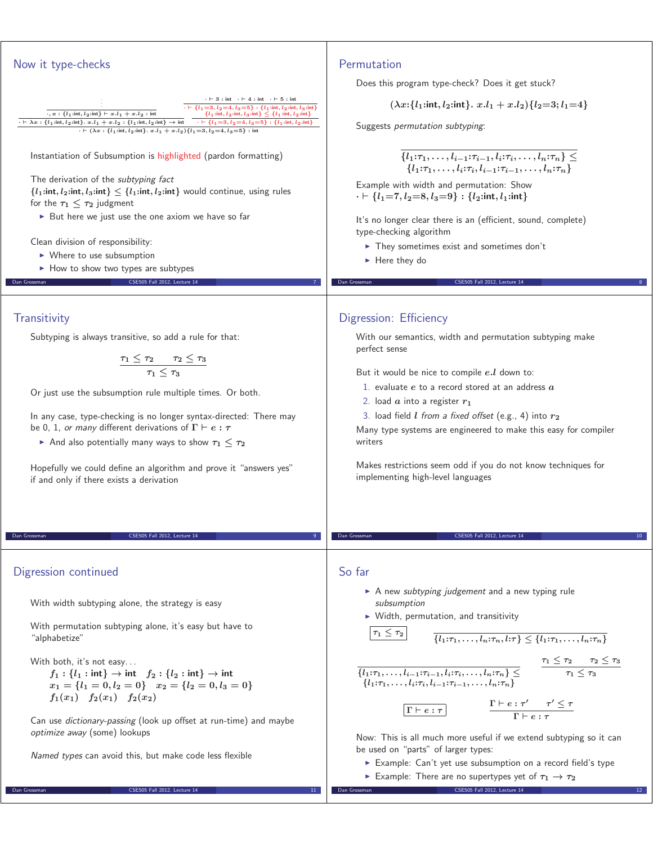

Can use dictionary-passing (look up offset at run-time) and maybe optimize away (some) lookups

Named types can avoid this, but make code less flexible

Dan Grossman CSE505 Fall 2012, Lecture 14

Example: Can't yet use subsumption on a record field's type

Now: This is all much more useful if we extend subtyping so it can

 $\blacktriangleright$  Example: There are no supertypes yet of  $\tau_1 \rightarrow \tau_2$ 

be used on "parts" of larger types:

Dan Grossman CSE505 Fall 2012, Lecture 14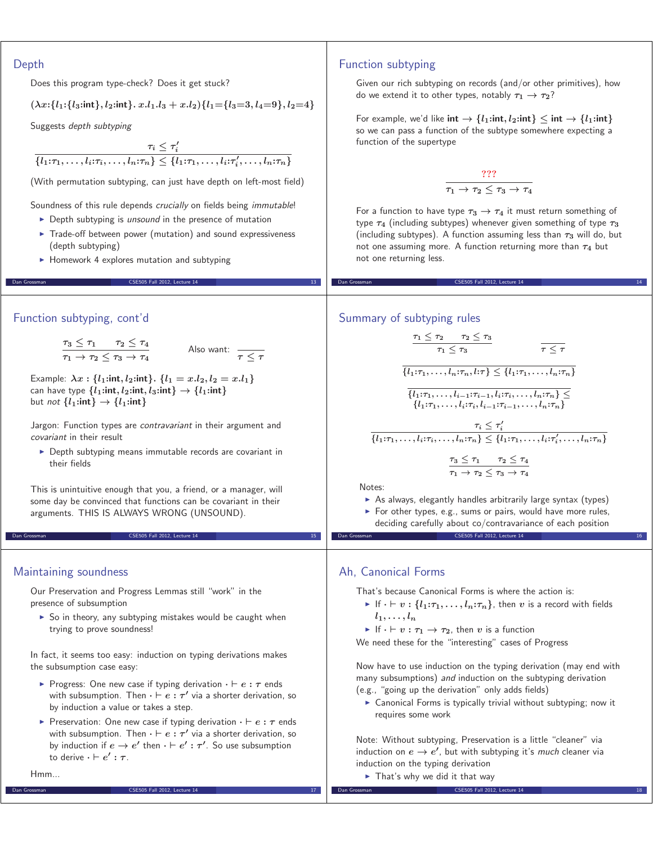### Depth

Does this program type-check? Does it get stuck?

$$
(\lambda x:\{l_1:\{l_3:\text{int}\},l_2:\text{int}\}.\ x.l_1.l_3 + x.l_2)\{l_1 = \{l_3 = 3, l_4 = 9\},l_2 = 4\}
$$

Suggests depth subtyping

 $\tau_i \leq \tau'_i$  $\{l_1:\tau_1,\ldots,l_i:\tau_i,\ldots,l_n:\tau_n\}\leq \{l_1:\tau_1,\ldots,l_i:\tau'_i,\ldots,l_n:\tau_n\}$ 

(With permutation subtyping, can just have depth on left-most field)

Soundness of this rule depends crucially on fields being immutable!

- Depth subtyping is unsound in the presence of mutation
- Trade-off between power (mutation) and sound expressiveness (depth subtyping)

CSE505 Fall 2012, Lecture 14

- Homework 4 explores mutation and subtyping

#### Function subtyping, cont'd

 $\tau_3 \leq \tau_1$  *τ*<sub>2</sub>  $\leq \tau_4$  $\tau_1 \rightarrow \tau_2 \leq \tau_3 \rightarrow \tau_4$ 

Also want: 
$$
\frac{\pi}{\tau} \leq \tau
$$

Example:  $\lambda x : \{l_1 : \text{int}, l_2 : \text{int}\}\. \{l_1 = x.l_2, l_2 = x.l_1\}$ can have type  $\{l_1 : \text{int}, l_2 : \text{int}, l_3 : \text{int}\} \rightarrow \{l_1 : \text{int}\}$ but not  $\{l_1: \text{int}\} \rightarrow \{l_1: \text{int}\}$ 

Jargon: Function types are contravariant in their argument and covariant in their result

- Depth subtyping means immutable records are covariant in their fields

This is unintuitive enough that you, a friend, or a manager, will some day be convinced that functions can be covariant in their arguments. THIS IS ALWAYS WRONG (UNSOUND).

Dan Grossman CSES05 Fall 2012, Lecture 14 15 CSES05 Fall 2012, Lecture 14 15 CSES05 Fall 2012, Lecture 14 15 C

## Maintaining soundness

Our Preservation and Progress Lemmas still "work" in the presence of subsumption

▶ So in theory, any subtyping mistakes would be caught when trying to prove soundness!

In fact, it seems too easy: induction on typing derivations makes the subsumption case easy:

- ► Progress: One new case if typing derivation  $· ⊢ e : τ$  ends with subsumption. Then  $\cdot \vdash e : \tau'$  via a shorter derivation, so by induction a value or takes a step.
- ► Preservation: One new case if typing derivation  $· ⊢ e : τ$  ends with subsumption. Then  $\cdot \vdash e : \tau'$  via a shorter derivation, so by induction if  $e \to e'$  then  $\cdot \vdash e' : \tau'$ . So use subsumption  $\mathbf{r} \cdot \mathbf{r} = \mathbf{r} \cdot \mathbf{r}$  **c**

Dan Grossman CSE505 Fall 2012, Lecture 14 17

Hmm...

# Function subtyping

Given our rich subtyping on records (and/or other primitives), how do we extend it to other types, notably *τ***<sup>1</sup>** *→ τ***2**?

For example, we'd like  $int \rightarrow \{l_1 : int, l_2 : int\} \le int \rightarrow \{l_1 : int\}$ so we can pass a function of the subtype somewhere expecting a function of the supertype

$$
\frac{??"}{\tau_1 \to \tau_2 \leq \tau_3 \to \tau_4}
$$

For a function to have type  $\tau_3 \rightarrow \tau_4$  it must return something of type *τ***<sup>4</sup>** (including subtypes) whenever given something of type *τ***<sup>3</sup>** (including subtypes). A function assuming less than *τ***<sup>3</sup>** will do, but not one assuming more. A function returning more than  $\tau_4$  but not one returning less.

Dan Grossman CSE505 Fall 2012, Lecture 14 14

#### Summary of subtyping rules

$$
\frac{\tau_1 \leq \tau_2 \quad \tau_2 \leq \tau_3}{\tau_1 \leq \tau_3} \qquad \qquad \overline{\tau \leq \tau}
$$
\n
$$
\frac{\{l_1:\tau_1,\ldots,l_n:\tau_n,l:\tau\} \leq \{l_1:\tau_1,\ldots,l_n:\tau_n\}}{\{l_1:\tau_1,\ldots,l_{i-1}:\tau_{i-1},l_i:\tau_i,\ldots,l_n:\tau_n\} \leq}
$$
\n
$$
\frac{\tau_i \leq \tau_i'}{\{l_1:\tau_1,\ldots,l_i:\tau_i,\ldots,l_n:\tau_n\} \leq \{l_1:\tau_1,\ldots,l_i:\tau_i',\ldots,l_n:\tau_n\}}
$$
\n
$$
\frac{\tau_3 \leq \tau_1 \quad \tau_2 \leq \tau_4}{\tau_1 \to \tau_2 \leq \tau_3 \to \tau_4}
$$

Notes:

- As always, elegantly handles arbitrarily large syntax (types)
- ► For other types, e.g., sums or pairs, would have more rules, deciding carefully about co/contravariance of each position CSE505 Fall 2012, Lecture 14

Ah, Canonical Forms

That's because Canonical Forms is where the action is:

- $\triangleright$  If  $\cdot \vdash v : \{l_1:\tau_1,\ldots,l_n:\tau_n\}$ , then  $v$  is a record with fields  $l_1, \ldots, l_n$
- $\blacktriangleright$  If  $\cdot \vdash v : \tau_1 \rightarrow \tau_2$ , then *v* is a function

We need these for the "interesting" cases of Progress

Now have to use induction on the typing derivation (may end with many subsumptions) and induction on the subtyping derivation (e.g., "going up the derivation" only adds fields)

- Canonical Forms is typically trivial without subtyping; now it requires some work

Note: Without subtyping, Preservation is a little "cleaner" via induction on  $e \rightarrow e'$ , but with subtyping it's *much* cleaner via induction on the typing derivation

CSE505 Fall 2012, Lecture 14

► That's why we did it that way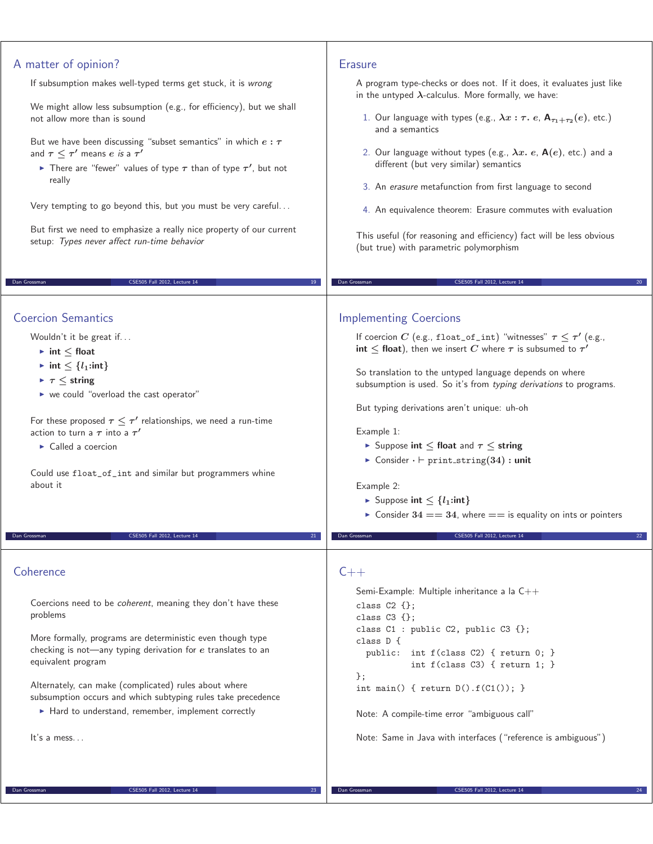| A matter of opinion?                                                                                                                                                                                                                                                                                                                                                                                                                                                                                                               | <b>Erasure</b>                                                                                                                                                                                                                                                                                                                                                                                                                                                                                                                                                                                                                                                              |
|------------------------------------------------------------------------------------------------------------------------------------------------------------------------------------------------------------------------------------------------------------------------------------------------------------------------------------------------------------------------------------------------------------------------------------------------------------------------------------------------------------------------------------|-----------------------------------------------------------------------------------------------------------------------------------------------------------------------------------------------------------------------------------------------------------------------------------------------------------------------------------------------------------------------------------------------------------------------------------------------------------------------------------------------------------------------------------------------------------------------------------------------------------------------------------------------------------------------------|
| If subsumption makes well-typed terms get stuck, it is wrong                                                                                                                                                                                                                                                                                                                                                                                                                                                                       | A program type-checks or does not. If it does, it evaluates just like                                                                                                                                                                                                                                                                                                                                                                                                                                                                                                                                                                                                       |
| We might allow less subsumption (e.g., for efficiency), but we shall                                                                                                                                                                                                                                                                                                                                                                                                                                                               | in the untyped $\lambda$ -calculus. More formally, we have:                                                                                                                                                                                                                                                                                                                                                                                                                                                                                                                                                                                                                 |
| not allow more than is sound                                                                                                                                                                                                                                                                                                                                                                                                                                                                                                       | 1. Our language with types (e.g., $\lambda x : \tau$ . e, $A_{\tau_1+\tau_2}(e)$ , etc.)                                                                                                                                                                                                                                                                                                                                                                                                                                                                                                                                                                                    |
| But we have been discussing "subset semantics" in which $e : \tau$                                                                                                                                                                                                                                                                                                                                                                                                                                                                 | and a semantics                                                                                                                                                                                                                                                                                                                                                                                                                                                                                                                                                                                                                                                             |
| and $\tau \leq \tau'$ means e is a $\tau'$                                                                                                                                                                                                                                                                                                                                                                                                                                                                                         | 2. Our language without types (e.g., $\lambda x$ . e, $A(e)$ , etc.) and a                                                                                                                                                                                                                                                                                                                                                                                                                                                                                                                                                                                                  |
| There are "fewer" values of type $\tau$ than of type $\tau'$ , but not                                                                                                                                                                                                                                                                                                                                                                                                                                                             | different (but very similar) semantics                                                                                                                                                                                                                                                                                                                                                                                                                                                                                                                                                                                                                                      |
| really                                                                                                                                                                                                                                                                                                                                                                                                                                                                                                                             | 3. An erasure metafunction from first language to second                                                                                                                                                                                                                                                                                                                                                                                                                                                                                                                                                                                                                    |
| Very tempting to go beyond this, but you must be very careful                                                                                                                                                                                                                                                                                                                                                                                                                                                                      | 4. An equivalence theorem: Erasure commutes with evaluation                                                                                                                                                                                                                                                                                                                                                                                                                                                                                                                                                                                                                 |
| But first we need to emphasize a really nice property of our current                                                                                                                                                                                                                                                                                                                                                                                                                                                               | This useful (for reasoning and efficiency) fact will be less obvious                                                                                                                                                                                                                                                                                                                                                                                                                                                                                                                                                                                                        |
| setup: Types never affect run-time behavior                                                                                                                                                                                                                                                                                                                                                                                                                                                                                        | (but true) with parametric polymorphism                                                                                                                                                                                                                                                                                                                                                                                                                                                                                                                                                                                                                                     |
| CSE505 Fall 2012, Lecture 14                                                                                                                                                                                                                                                                                                                                                                                                                                                                                                       | Dan Grossman                                                                                                                                                                                                                                                                                                                                                                                                                                                                                                                                                                                                                                                                |
| Dan Grossman                                                                                                                                                                                                                                                                                                                                                                                                                                                                                                                       | CSE505 Fall 2012, Lecture 14                                                                                                                                                                                                                                                                                                                                                                                                                                                                                                                                                                                                                                                |
| <b>Coercion Semantics</b><br>Wouldn't it be great if<br>$\blacktriangleright$ int $\leq$ float<br>$\blacktriangleright$ int $\leq \{l_1:\text{int}\}$<br>$\blacktriangleright \tau \leq$ string<br>• we could "overload the cast operator"<br>For these proposed $\tau \leq \tau'$ relationships, we need a run-time<br>action to turn a $\tau$ into a $\tau'$<br>$\triangleright$ Called a coercion<br>Could use float_of_int and similar but programmers whine<br>about it<br>CSE505 Fall 2012, Lecture 14<br>Dan Grossman<br>21 | <b>Implementing Coercions</b><br>If coercion C (e.g., float_of_int) "witnesses" $\tau \leq \tau'$ (e.g.,<br>int $\leq$ float), then we insert C where $\tau$ is subsumed to $\tau'$<br>So translation to the untyped language depends on where<br>subsumption is used. So it's from typing derivations to programs.<br>But typing derivations aren't unique: uh-oh<br>Example 1:<br>Suppose int $\leq$ float and $\tau \leq$ string<br>Consider $\cdot \vdash \text{print\_string}(34)$ : unit<br>Example 2:<br>Suppose int $\leq \{l_1$ :int }<br>• Consider $34 == 34$ , where $==$ is equality on ints or pointers<br>CSE505 Fall 2012, Lecture 14<br>Dan Grossman<br>22 |
| Coherence<br>Coercions need to be coherent, meaning they don't have these<br>problems<br>More formally, programs are deterministic even though type<br>checking is not-any typing derivation for $e$ translates to an<br>equivalent program<br>Alternately, can make (complicated) rules about where<br>subsumption occurs and which subtyping rules take precedence<br>• Hard to understand, remember, implement correctly<br>It's a mess                                                                                         | $C++$<br>Semi-Example: Multiple inheritance a la $C++$<br>class $C2$ {};<br>class $C3$ $\{\}$ ;<br>class C1 : public C2, public C3 {};<br>class D {<br>public: int f(class C2) { return 0; }<br>int $f$ (class C3) { return 1; }<br>$\}$ ;<br>int main() { return $D(.) . f(C1())$ ; }<br>Note: A compile-time error "ambiguous call"<br>Note: Same in Java with interfaces ("reference is ambiguous")                                                                                                                                                                                                                                                                      |

Dan Grossman CSE505 Fall 2012, Lecture 14 23